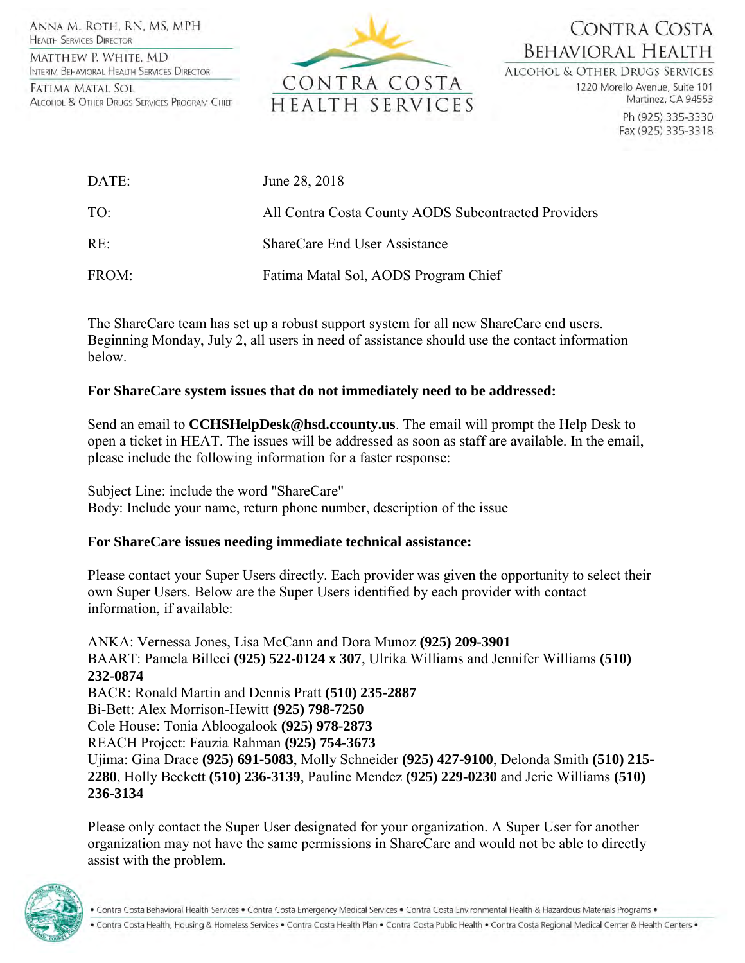ANNA M. ROTH, RN, MS, MPH **HEALTH SERVICES DIRECTOR** 

MATTHEW P. WHITE, MD INTERIM BEHAVIORAL HEALTH SERVICES DIRECTOR

FATIMA MATAL SOL ALCOHOL & OTHER DRUGS SERVICES PROGRAM CHIEF



## CONTRA COSTA **BEHAVIORAL HEALTH**

**ALCOHOL & OTHER DRUGS SERVICES** 

1220 Morello Avenue, Suite 101 Martinez, CA 94553

> Ph (925) 335-3330 Fax (925) 335-3318

| DATE: | June 28, 2018                                        |
|-------|------------------------------------------------------|
| TO:   | All Contra Costa County AODS Subcontracted Providers |
| RE:   | ShareCare End User Assistance                        |
| FROM: | Fatima Matal Sol, AODS Program Chief                 |

The ShareCare team has set up a robust support system for all new ShareCare end users. Beginning Monday, July 2, all users in need of assistance should use the contact information below.

## **For ShareCare system issues that do not immediately need to be addressed:**

Send an email to **CCHSHelpDesk@hsd.ccounty.us**. The email will prompt the Help Desk to open a ticket in HEAT. The issues will be addressed as soon as staff are available. In the email, please include the following information for a faster response:

Subject Line: include the word "ShareCare" Body: Include your name, return phone number, description of the issue

## **For ShareCare issues needing immediate technical assistance:**

Please contact your Super Users directly. Each provider was given the opportunity to select their own Super Users. Below are the Super Users identified by each provider with contact information, if available:

ANKA: Vernessa Jones, Lisa McCann and Dora Munoz **(925) 209-3901** BAART: Pamela Billeci **(925) 522-0124 x 307**, Ulrika Williams and Jennifer Williams **(510) 232-0874**  BACR: Ronald Martin and Dennis Pratt **(510) 235-2887**  Bi-Bett: Alex Morrison-Hewitt **(925) 798-7250** Cole House: Tonia Abloogalook **(925) 978-2873** REACH Project: Fauzia Rahman **(925) 754-3673** Ujima: Gina Drace **(925) 691-5083**, Molly Schneider **(925) 427-9100**, Delonda Smith **(510) 215- 2280**, Holly Beckett **(510) 236-3139**, Pauline Mendez **(925) 229-0230** and Jerie Williams **(510) 236-3134**

Please only contact the Super User designated for your organization. A Super User for another organization may not have the same permissions in ShareCare and would not be able to directly assist with the problem.